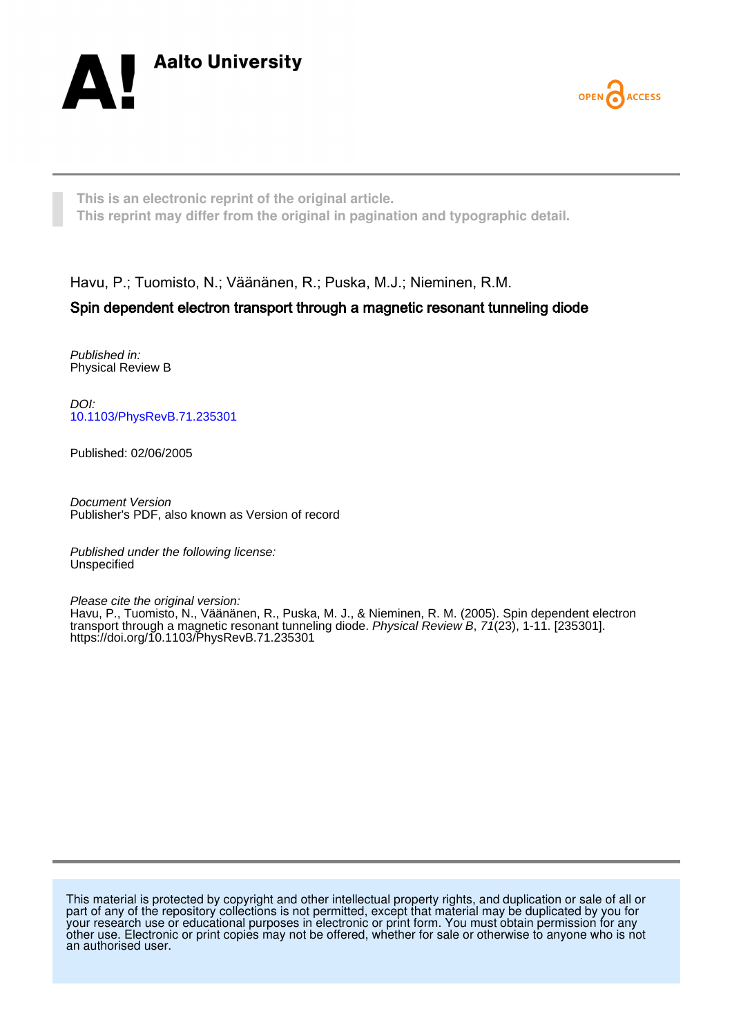



**This is an electronic reprint of the original article. This reprint may differ from the original in pagination and typographic detail.**

Havu, P.; Tuomisto, N.; Väänänen, R.; Puska, M.J.; Nieminen, R.M.

# Spin dependent electron transport through a magnetic resonant tunneling diode

Published in: Physical Review B

DOI: [10.1103/PhysRevB.71.235301](https://doi.org/10.1103/PhysRevB.71.235301)

Published: 02/06/2005

Document Version Publisher's PDF, also known as Version of record

Published under the following license: Unspecified

Please cite the original version:

Havu, P., Tuomisto, N., Väänänen, R., Puska, M. J., & Nieminen, R. M. (2005). Spin dependent electron transport through a magnetic resonant tunneling diode. Physical Review B, 71(23), 1-11. [235301]. <https://doi.org/10.1103/PhysRevB.71.235301>

This material is protected by copyright and other intellectual property rights, and duplication or sale of all or part of any of the repository collections is not permitted, except that material may be duplicated by you for your research use or educational purposes in electronic or print form. You must obtain permission for any other use. Electronic or print copies may not be offered, whether for sale or otherwise to anyone who is not an authorised user.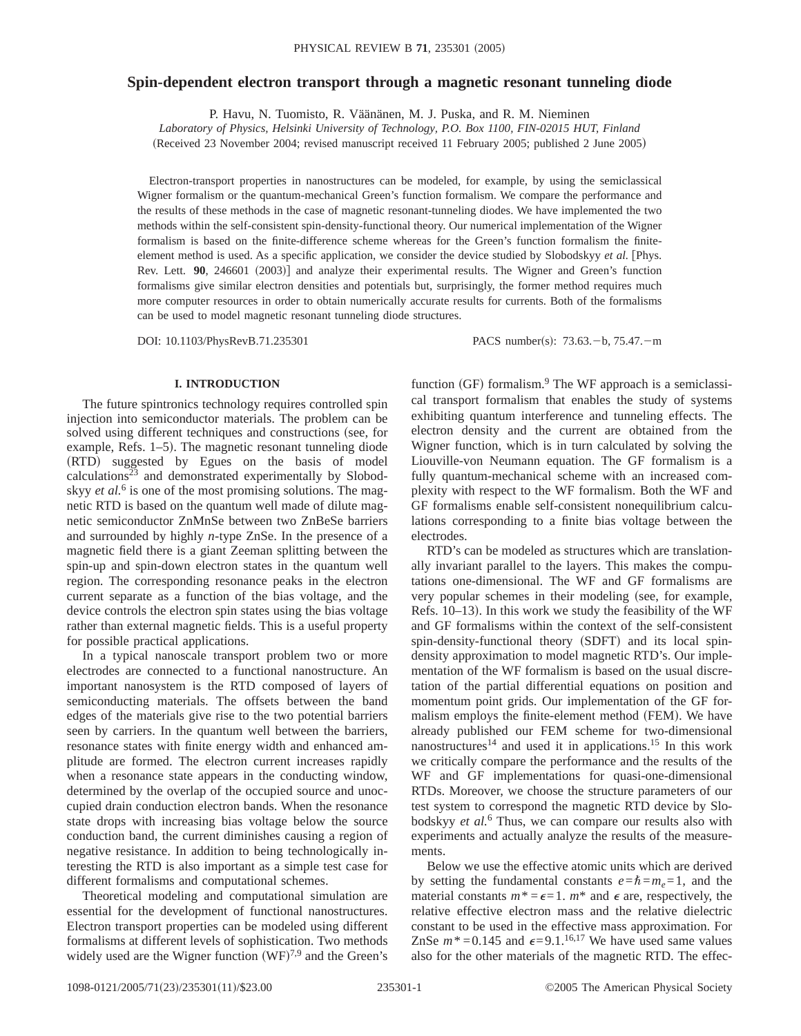# **Spin-dependent electron transport through a magnetic resonant tunneling diode**

P. Havu, N. Tuomisto, R. Väänänen, M. J. Puska, and R. M. Nieminen

*Laboratory of Physics, Helsinki University of Technology, P.O. Box 1100, FIN-02015 HUT, Finland*

(Received 23 November 2004; revised manuscript received 11 February 2005; published 2 June 2005)

Electron-transport properties in nanostructures can be modeled, for example, by using the semiclassical Wigner formalism or the quantum-mechanical Green's function formalism. We compare the performance and the results of these methods in the case of magnetic resonant-tunneling diodes. We have implemented the two methods within the self-consistent spin-density-functional theory. Our numerical implementation of the Wigner formalism is based on the finite-difference scheme whereas for the Green's function formalism the finiteelement method is used. As a specific application, we consider the device studied by Slobodskyy *et al.* [Phys. Rev. Lett. **90**, 246601 (2003)] and analyze their experimental results. The Wigner and Green's function formalisms give similar electron densities and potentials but, surprisingly, the former method requires much more computer resources in order to obtain numerically accurate results for currents. Both of the formalisms can be used to model magnetic resonant tunneling diode structures.

DOI: 10.1103/PhysRevB.71.235301 PACS number(s): 73.63.-b, 75.47.-m

### **I. INTRODUCTION**

The future spintronics technology requires controlled spin injection into semiconductor materials. The problem can be solved using different techniques and constructions (see, for example, Refs.  $1-5$ ). The magnetic resonant tunneling diode (RTD) suggested by Egues on the basis of model calculations<sup>23</sup> and demonstrated experimentally by Slobodskyy *et al.*<sup>6</sup> is one of the most promising solutions. The magnetic RTD is based on the quantum well made of dilute magnetic semiconductor ZnMnSe between two ZnBeSe barriers and surrounded by highly *n*-type ZnSe. In the presence of a magnetic field there is a giant Zeeman splitting between the spin-up and spin-down electron states in the quantum well region. The corresponding resonance peaks in the electron current separate as a function of the bias voltage, and the device controls the electron spin states using the bias voltage rather than external magnetic fields. This is a useful property for possible practical applications.

In a typical nanoscale transport problem two or more electrodes are connected to a functional nanostructure. An important nanosystem is the RTD composed of layers of semiconducting materials. The offsets between the band edges of the materials give rise to the two potential barriers seen by carriers. In the quantum well between the barriers, resonance states with finite energy width and enhanced amplitude are formed. The electron current increases rapidly when a resonance state appears in the conducting window, determined by the overlap of the occupied source and unoccupied drain conduction electron bands. When the resonance state drops with increasing bias voltage below the source conduction band, the current diminishes causing a region of negative resistance. In addition to being technologically interesting the RTD is also important as a simple test case for different formalisms and computational schemes.

Theoretical modeling and computational simulation are essential for the development of functional nanostructures. Electron transport properties can be modeled using different formalisms at different levels of sophistication. Two methods widely used are the Wigner function  $(WF)^{7,9}$  and the Green's

function (GF) formalism. $9$  The WF approach is a semiclassical transport formalism that enables the study of systems exhibiting quantum interference and tunneling effects. The electron density and the current are obtained from the Wigner function, which is in turn calculated by solving the Liouville-von Neumann equation. The GF formalism is a fully quantum-mechanical scheme with an increased complexity with respect to the WF formalism. Both the WF and GF formalisms enable self-consistent nonequilibrium calculations corresponding to a finite bias voltage between the electrodes.

RTD's can be modeled as structures which are translationally invariant parallel to the layers. This makes the computations one-dimensional. The WF and GF formalisms are very popular schemes in their modeling (see, for example, Refs.  $10-13$ ). In this work we study the feasibility of the WF and GF formalisms within the context of the self-consistent spin-density-functional theory (SDFT) and its local spindensity approximation to model magnetic RTD's. Our implementation of the WF formalism is based on the usual discretation of the partial differential equations on position and momentum point grids. Our implementation of the GF formalism employs the finite-element method (FEM). We have already published our FEM scheme for two-dimensional nanostructures<sup>14</sup> and used it in applications.<sup>15</sup> In this work we critically compare the performance and the results of the WF and GF implementations for quasi-one-dimensional RTDs. Moreover, we choose the structure parameters of our test system to correspond the magnetic RTD device by Slobodskyy *et al.*<sup>6</sup> Thus, we can compare our results also with experiments and actually analyze the results of the measurements.

Below we use the effective atomic units which are derived by setting the fundamental constants  $e=\hbar=m_e=1$ , and the material constants  $m^* = \epsilon = 1$ .  $m^*$  and  $\epsilon$  are, respectively, the relative effective electron mass and the relative dielectric constant to be used in the effective mass approximation. For ZnSe  $m^* = 0.145$  and  $\epsilon = 9.1$ .<sup>16,17</sup> We have used same values also for the other materials of the magnetic RTD. The effec-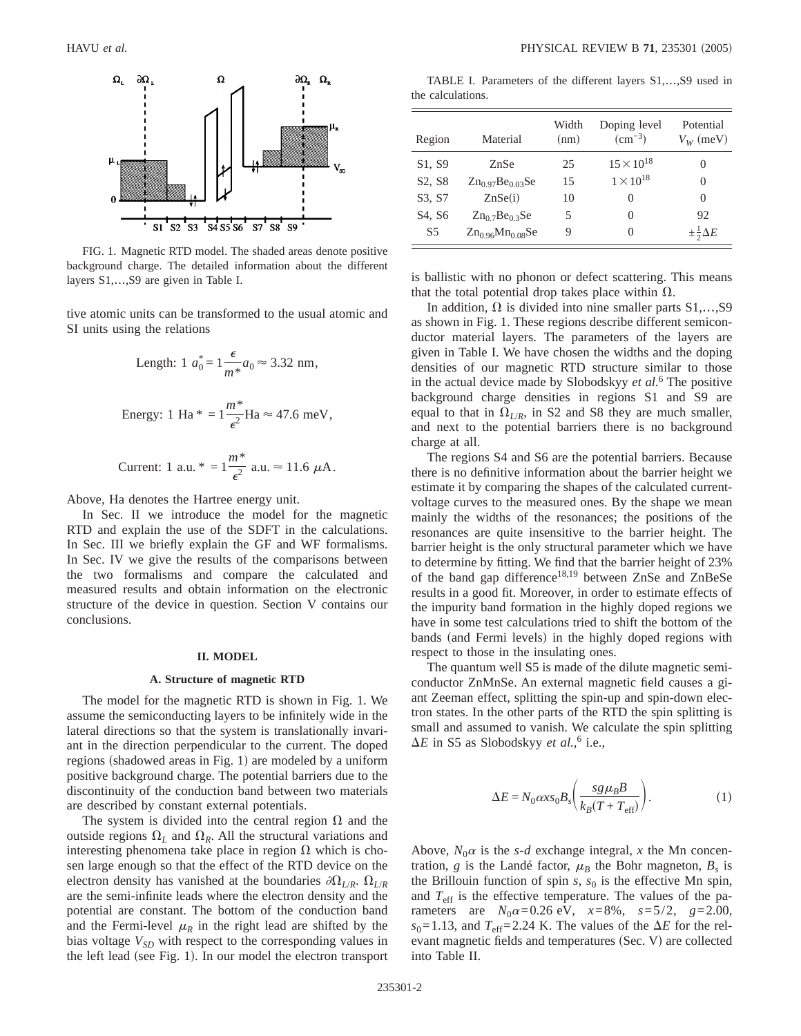

FIG. 1. Magnetic RTD model. The shaded areas denote positive background charge. The detailed information about the different layers S1,…,S9 are given in Table I.

tive atomic units can be transformed to the usual atomic and SI units using the relations

Length: 1 
$$
a_0^* = 1 \frac{\epsilon}{m^*} a_0 \approx 3.32
$$
 nm,  
\nEnergy: 1 Ha \* =  $1 \frac{m^*}{\epsilon^2}$  Ha ≈ 47.6 meV,  
\nCurrent: 1 a.u. \* =  $1 \frac{m^*}{\epsilon^2}$  a.u. ≈ 11.6  $\mu$ A.

Above, Ha denotes the Hartree energy unit.

In Sec. II we introduce the model for the magnetic RTD and explain the use of the SDFT in the calculations. In Sec. III we briefly explain the GF and WF formalisms. In Sec. IV we give the results of the comparisons between the two formalisms and compare the calculated and measured results and obtain information on the electronic structure of the device in question. Section V contains our conclusions.

### **II. MODEL**

#### **A. Structure of magnetic RTD**

The model for the magnetic RTD is shown in Fig. 1. We assume the semiconducting layers to be infinitely wide in the lateral directions so that the system is translationally invariant in the direction perpendicular to the current. The doped regions (shadowed areas in Fig. 1) are modeled by a uniform positive background charge. The potential barriers due to the discontinuity of the conduction band between two materials are described by constant external potentials.

The system is divided into the central region  $\Omega$  and the outside regions  $\Omega_L$  and  $\Omega_R$ . All the structural variations and interesting phenomena take place in region  $\Omega$  which is chosen large enough so that the effect of the RTD device on the electron density has vanished at the boundaries  $\partial \Omega_{L/R}$ .  $\Omega_{L/R}$ are the semi-infinite leads where the electron density and the potential are constant. The bottom of the conduction band and the Fermi-level  $\mu_R$  in the right lead are shifted by the bias voltage  $V_{SD}$  with respect to the corresponding values in the left lead (see Fig. 1). In our model the electron transport

TABLE I. Parameters of the different layers S1,…,S9 used in the calculations.

| Region                          | Material                    | Width<br>(nm) | Doping level<br>$\rm (cm^{-3})$ | Potential<br>$V_W$ (meV)  |
|---------------------------------|-----------------------------|---------------|---------------------------------|---------------------------|
| S1, S9                          | ZnSe                        | 25            | $15 \times 10^{18}$             | 0                         |
| S <sub>2</sub> , S <sub>8</sub> | $Zn_{0.97}Be0.03Se$         | 15            | $1 \times 10^{18}$              | 0                         |
| S3, S7                          | ZnSe(i)                     | 10            | 0                               | 0                         |
| S4, S6                          | $Zn_0$ 7Be <sub>0</sub> 3Se | 5             | $\mathcal{L}$                   | 92                        |
| S5                              | $Zn_0$ 96 $Mn_0$ 08 $Se$    | 9             | $\mathcal{L}$                   | $\pm \frac{1}{2}\Delta E$ |

is ballistic with no phonon or defect scattering. This means that the total potential drop takes place within  $\Omega$ .

In addition,  $\Omega$  is divided into nine smaller parts  $S1, \ldots, S9$ as shown in Fig. 1. These regions describe different semiconductor material layers. The parameters of the layers are given in Table I. We have chosen the widths and the doping densities of our magnetic RTD structure similar to those in the actual device made by Slobodskyy *et al.*<sup>6</sup> The positive background charge densities in regions S1 and S9 are equal to that in  $\Omega_{L/R}$ , in S2 and S8 they are much smaller, and next to the potential barriers there is no background charge at all.

The regions S4 and S6 are the potential barriers. Because there is no definitive information about the barrier height we estimate it by comparing the shapes of the calculated currentvoltage curves to the measured ones. By the shape we mean mainly the widths of the resonances; the positions of the resonances are quite insensitive to the barrier height. The barrier height is the only structural parameter which we have to determine by fitting. We find that the barrier height of 23% of the band gap difference<sup>18,19</sup> between ZnSe and ZnBeSe results in a good fit. Moreover, in order to estimate effects of the impurity band formation in the highly doped regions we have in some test calculations tried to shift the bottom of the bands (and Fermi levels) in the highly doped regions with respect to those in the insulating ones.

The quantum well S5 is made of the dilute magnetic semiconductor ZnMnSe. An external magnetic field causes a giant Zeeman effect, splitting the spin-up and spin-down electron states. In the other parts of the RTD the spin splitting is small and assumed to vanish. We calculate the spin splitting  $\Delta E$  in S5 as Slobodskyy *et al.*,<sup>6</sup> i.e.,

$$
\Delta E = N_0 \alpha x s_0 B_s \left( \frac{s g \mu_B B}{k_B (T + T_{\text{eff}})} \right). \tag{1}
$$

Above,  $N_0\alpha$  is the *s*-*d* exchange integral, *x* the Mn concentration, *g* is the Landé factor,  $\mu_B$  the Bohr magneton,  $B_s$  is the Brillouin function of spin  $s$ ,  $s<sub>0</sub>$  is the effective Mn spin, and  $T_{\text{eff}}$  is the effective temperature. The values of the parameters are  $N_0 \alpha = 0.26 \text{ eV}$ ,  $x = 8\%$ ,  $s = 5/2$ ,  $g = 2.00$ ,  $s_0$ =1.13, and  $T_{\text{eff}}$ =2.24 K. The values of the  $\Delta E$  for the relevant magnetic fields and temperatures (Sec. V) are collected into Table II.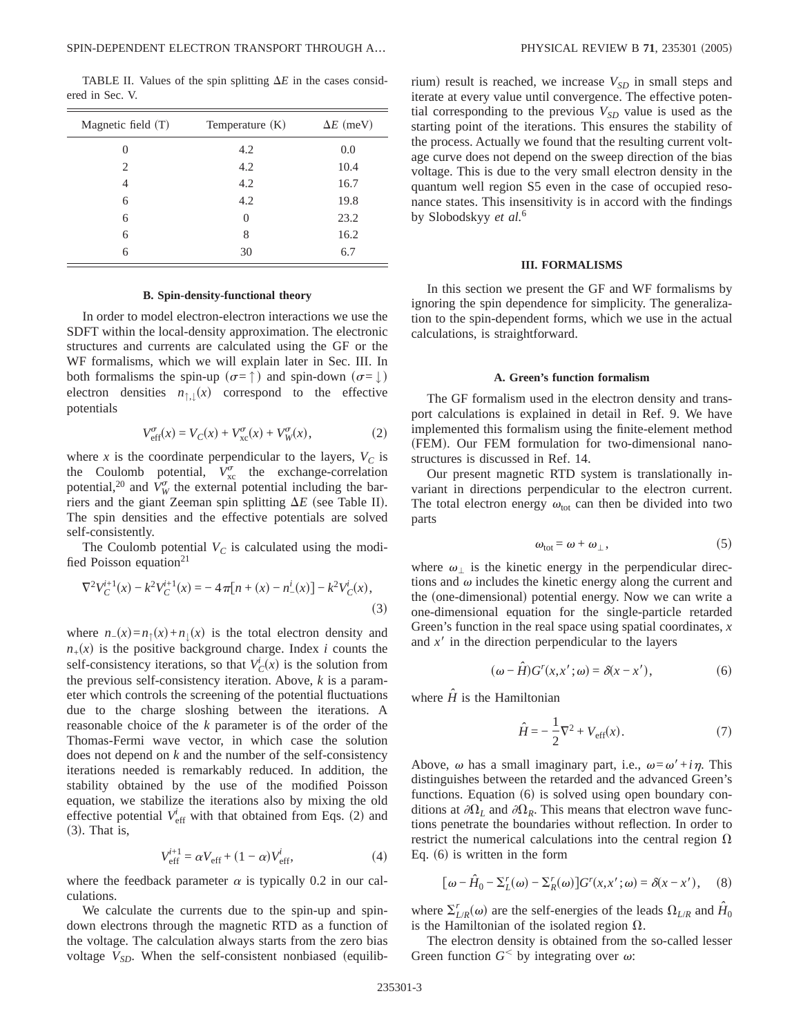TABLE II. Values of the spin splitting  $\Delta E$  in the cases considered in Sec. V.

| Magnetic field $(T)$ | Temperature $(K)$ | $\Delta E$ (meV) |
|----------------------|-------------------|------------------|
| $\theta$             | 4.2               | 0.0              |
| 2                    | 4.2               | 10.4             |
| 4                    | 4.2               | 16.7             |
| 6                    | 4.2               | 19.8             |
| 6                    | $\theta$          | 23.2             |
| 6                    | 8                 | 16.2             |
| 6                    | 30                | 6.7              |

### **B. Spin-density-functional theory**

In order to model electron-electron interactions we use the SDFT within the local-density approximation. The electronic structures and currents are calculated using the GF or the WF formalisms, which we will explain later in Sec. III. In both formalisms the spin-up  $(\sigma = \uparrow)$  and spin-down  $(\sigma = \downarrow)$ electron densities  $n_{\uparrow,\downarrow}(x)$  correspond to the effective potentials

$$
V_{\text{eff}}^{\sigma}(x) = V_C(x) + V_{\text{xc}}^{\sigma}(x) + V_W^{\sigma}(x), \qquad (2)
$$

where *x* is the coordinate perpendicular to the layers,  $V_C$  is the Coulomb potential,  $V_{\text{xc}}^{\sigma}$  the exchange-correlation potential,<sup>20</sup> and  $V_W^{\sigma}$  the external potential including the barriers and the giant Zeeman spin splitting  $\Delta E$  (see Table II). The spin densities and the effective potentials are solved self-consistently.

The Coulomb potential  $V_C$  is calculated using the modified Poisson equation<sup>21</sup>

$$
\nabla^2 V_C^{i+1}(x) - k^2 V_C^{i+1}(x) = -4\pi [n + (x) - n^i_-(x)] - k^2 V_C^i(x),\tag{3}
$$

where  $n_-(x)=n_+(x)+n_+(x)$  is the total electron density and  $n_{+}(x)$  is the positive background charge. Index *i* counts the self-consistency iterations, so that  $V_c^i(x)$  is the solution from the previous self-consistency iteration. Above, *k* is a parameter which controls the screening of the potential fluctuations due to the charge sloshing between the iterations. A reasonable choice of the *k* parameter is of the order of the Thomas-Fermi wave vector, in which case the solution does not depend on *k* and the number of the self-consistency iterations needed is remarkably reduced. In addition, the stability obtained by the use of the modified Poisson equation, we stabilize the iterations also by mixing the old effective potential  $V_{\text{eff}}^i$  with that obtained from Eqs. (2) and  $(3)$ . That is,

$$
V_{\text{eff}}^{i+1} = \alpha V_{\text{eff}} + (1 - \alpha) V_{\text{eff}}^{i},\tag{4}
$$

where the feedback parameter  $\alpha$  is typically 0.2 in our calculations.

We calculate the currents due to the spin-up and spindown electrons through the magnetic RTD as a function of the voltage. The calculation always starts from the zero bias voltage  $V_{SD}$ . When the self-consistent nonbiased (equilibrium) result is reached, we increase  $V_{SD}$  in small steps and iterate at every value until convergence. The effective potential corresponding to the previous  $V_{SD}$  value is used as the starting point of the iterations. This ensures the stability of the process. Actually we found that the resulting current voltage curve does not depend on the sweep direction of the bias voltage. This is due to the very small electron density in the quantum well region S5 even in the case of occupied resonance states. This insensitivity is in accord with the findings by Slobodskyy *et al.*<sup>6</sup>

### **III. FORMALISMS**

In this section we present the GF and WF formalisms by ignoring the spin dependence for simplicity. The generalization to the spin-dependent forms, which we use in the actual calculations, is straightforward.

### **A. Green's function formalism**

The GF formalism used in the electron density and transport calculations is explained in detail in Ref. 9. We have implemented this formalism using the finite-element method (FEM). Our FEM formulation for two-dimensional nanostructures is discussed in Ref. 14.

Our present magnetic RTD system is translationally invariant in directions perpendicular to the electron current. The total electron energy  $\omega_{\text{tot}}$  can then be divided into two parts

$$
\omega_{\text{tot}} = \omega + \omega_{\perp},\tag{5}
$$

where  $\omega_{\perp}$  is the kinetic energy in the perpendicular directions and  $\omega$  includes the kinetic energy along the current and the (one-dimensional) potential energy. Now we can write a one-dimensional equation for the single-particle retarded Green's function in the real space using spatial coordinates, *x* and  $x<sup>3</sup>$  in the direction perpendicular to the layers

$$
(\omega - \hat{H})G^{r}(x, x'; \omega) = \delta(x - x'), \qquad (6)
$$

where  $\hat{H}$  is the Hamiltonian

$$
\hat{H} = -\frac{1}{2}\nabla^2 + V_{\text{eff}}(x). \tag{7}
$$

Above,  $\omega$  has a small imaginary part, i.e.,  $\omega = \omega' + i\eta$ . This distinguishes between the retarded and the advanced Green's functions. Equation  $(6)$  is solved using open boundary conditions at  $\partial \Omega_L$  and  $\partial \Omega_R$ . This means that electron wave functions penetrate the boundaries without reflection. In order to restrict the numerical calculations into the central region  $\Omega$ Eq.  $(6)$  is written in the form

$$
[\omega - \hat{H}_0 - \Sigma_L^r(\omega) - \Sigma_R^r(\omega)]G^r(x, x'; \omega) = \delta(x - x'), \quad (8)
$$

where  $\sum_{L/R}^r(\omega)$  are the self-energies of the leads  $\Omega_{L/R}$  and  $\hat{H}_0$ is the Hamiltonian of the isolated region  $\Omega$ .

The electron density is obtained from the so-called lesser Green function  $G^{\leq}$  by integrating over  $\omega$ :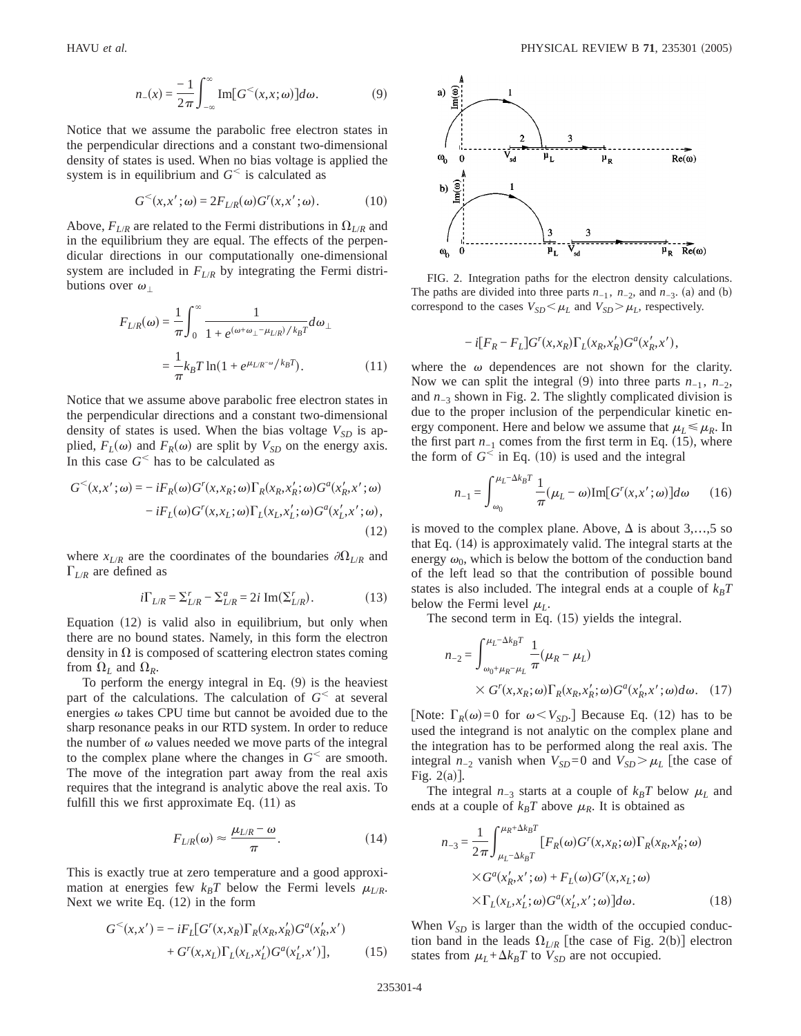$$
n_{-}(x) = \frac{-1}{2\pi} \int_{-\infty}^{\infty} \text{Im}[G^{<}(x, x; \omega)] d\omega.
$$
 (9)

Notice that we assume the parabolic free electron states in the perpendicular directions and a constant two-dimensional density of states is used. When no bias voltage is applied the system is in equilibrium and  $G<sup>0</sup>$  is calculated as

$$
G^{<}(x,x';\omega) = 2F_{L/R}(\omega)G^{r}(x,x';\omega).
$$
 (10)

Above,  $F_{L/R}$  are related to the Fermi distributions in  $\Omega_{L/R}$  and in the equilibrium they are equal. The effects of the perpendicular directions in our computationally one-dimensional system are included in  $F_{L/R}$  by integrating the Fermi distributions over  $\omega_1$ 

$$
F_{L/R}(\omega) = \frac{1}{\pi} \int_0^{\infty} \frac{1}{1 + e^{(\omega + \omega_{\perp} - \mu_{LR})/k_B T}} d\omega_{\perp}
$$

$$
= \frac{1}{\pi} k_B T \ln(1 + e^{\mu_{LR} - \omega/k_B T}). \tag{11}
$$

Notice that we assume above parabolic free electron states in the perpendicular directions and a constant two-dimensional density of states is used. When the bias voltage  $V_{SD}$  is applied,  $F_L(\omega)$  and  $F_R(\omega)$  are split by  $V_{SD}$  on the energy axis. In this case  $G<sup>th</sup>$  has to be calculated as

$$
G^{<}(x,x';\omega) = -iF_R(\omega)G^{r}(x,x_R;\omega)\Gamma_R(x_R,x'_R;\omega)G^{a}(x'_R,x';\omega)
$$

$$
-iF_L(\omega)G^{r}(x,x_L;\omega)\Gamma_L(x_L,x'_L;\omega)G^{a}(x'_L,x';\omega),
$$
(12)

where  $x_{L/R}$  are the coordinates of the boundaries  $\partial \Omega_{L/R}$  and  $\Gamma$ <sub>*L/R*</sub> are defined as

$$
i\Gamma_{L/R} = \Sigma_{L/R}^r - \Sigma_{L/R}^a = 2i \operatorname{Im}(\Sigma_{L/R}^r). \tag{13}
$$

Equation  $(12)$  is valid also in equilibrium, but only when there are no bound states. Namely, in this form the electron density in  $\Omega$  is composed of scattering electron states coming from  $\Omega_L$  and  $\Omega_R$ .

To perform the energy integral in Eq.  $(9)$  is the heaviest part of the calculations. The calculation of  $G<sup>0</sup>$  at several energies  $\omega$  takes CPU time but cannot be avoided due to the sharp resonance peaks in our RTD system. In order to reduce the number of  $\omega$  values needed we move parts of the integral to the complex plane where the changes in  $G<sup>0</sup>$  are smooth. The move of the integration part away from the real axis requires that the integrand is analytic above the real axis. To fulfill this we first approximate Eq.  $(11)$  as

$$
F_{L/R}(\omega) \approx \frac{\mu_{L/R} - \omega}{\pi}.
$$
 (14)

This is exactly true at zero temperature and a good approximation at energies few  $k_B T$  below the Fermi levels  $\mu_{L/R}$ . Next we write Eq.  $(12)$  in the form

$$
G^{<}(x,x') = -iF_L[G^{r}(x,x_R)\Gamma_R(x_R,x_R')G^{a}(x_R',x') + G^{r}(x,x_L)\Gamma_L(x_L,x_L')G^{a}(x_L',x')],
$$
 (15)



FIG. 2. Integration paths for the electron density calculations. The paths are divided into three parts  $n_{-1}$ ,  $n_{-2}$ , and  $n_{-3}$ . (a) and (b) correspond to the cases  $V_{SD} < \mu_L$  and  $V_{SD} > \mu_L$ , respectively.

$$
-i[F_R - F_L]G^r(x, x_R) \Gamma_L(x_R, x_R') G^a(x_R', x'),
$$

where the  $\omega$  dependences are not shown for the clarity. Now we can split the integral (9) into three parts  $n_{-1}$ ,  $n_{-2}$ , and *n*−3 shown in Fig. 2. The slightly complicated division is due to the proper inclusion of the perpendicular kinetic energy component. Here and below we assume that  $\mu_l \leq \mu_R$ . In the first part  $n_{-1}$  comes from the first term in Eq. (15), where the form of  $G^{\le}$  in Eq. (10) is used and the integral

$$
n_{-1} = \int_{\omega_0}^{\mu_L - \Delta k_B T} \frac{1}{\pi} (\mu_L - \omega) \text{Im}[G'(x, x'; \omega)] d\omega \qquad (16)
$$

is moved to the complex plane. Above,  $\Delta$  is about 3,..., 5 so that Eq.  $(14)$  is approximately valid. The integral starts at the energy  $\omega_0$ , which is below the bottom of the conduction band of the left lead so that the contribution of possible bound states is also included. The integral ends at a couple of  $k_B T$ below the Fermi level  $\mu_L$ .

The second term in Eq.  $(15)$  yields the integral.

$$
n_{-2} = \int_{\omega_0 + \mu_R - \mu_L}^{\mu_L - \Delta k_B T} \frac{1}{\pi} (\mu_R - \mu_L)
$$
  
×  $G'(x, x_R; \omega) \Gamma_R(x_R, x'_R; \omega) G^a(x'_R, x'; \omega) d\omega.$  (17)

[Note:  $\Gamma_R(\omega)=0$  for  $\omega < V_{SD}$ .] Because Eq. (12) has to be used the integrand is not analytic on the complex plane and the integration has to be performed along the real axis. The integral  $n_{-2}$  vanish when  $V_{SD} = 0$  and  $V_{SD} > \mu_L$  [the case of Fig.  $2(a)$ ].

The integral  $n_{-3}$  starts at a couple of  $k_B T$  below  $\mu_L$  and ends at a couple of  $k_B T$  above  $\mu_R$ . It is obtained as

$$
n_{-3} = \frac{1}{2\pi} \int_{\mu_L - \Delta k_B T}^{\mu_R + \Delta k_B T} [F_R(\omega) G^r(x, x_R; \omega) \Gamma_R(x_R, x_R'; \omega)
$$
  
× $G^a(x_R', x'; \omega) + F_L(\omega) G^r(x, x_L; \omega)$   
× $\Gamma_L(x_L, x_L'; \omega) G^a(x_L', x'; \omega)]d\omega.$  (18)

When  $V_{SD}$  is larger than the width of the occupied conduction band in the leads  $\Omega_{L/R}$  [the case of Fig. 2(b)] electron states from  $\mu_L + \Delta k_B T$  to  $V_{SD}$  are not occupied.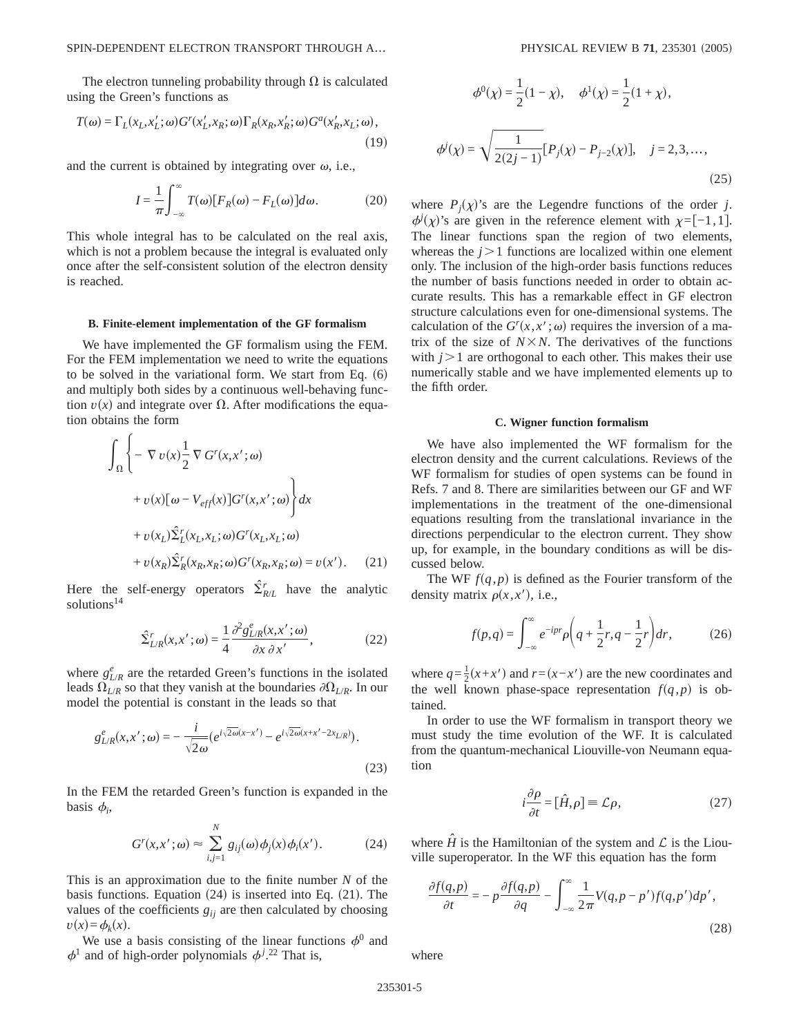The electron tunneling probability through  $\Omega$  is calculated using the Green's functions as

$$
T(\omega) = \Gamma_L(x_L, x_L'; \omega) G^r(x_L', x_R; \omega) \Gamma_R(x_R, x_R'; \omega) G^a(x_R', x_L; \omega),
$$
\n(19)

and the current is obtained by integrating over  $\omega$ , i.e.,

$$
I = \frac{1}{\pi} \int_{-\infty}^{\infty} T(\omega) [F_R(\omega) - F_L(\omega)] d\omega.
$$
 (20)

This whole integral has to be calculated on the real axis, which is not a problem because the integral is evaluated only once after the self-consistent solution of the electron density is reached.

### **B. Finite-element implementation of the GF formalism**

We have implemented the GF formalism using the FEM. For the FEM implementation we need to write the equations to be solved in the variational form. We start from Eq.  $(6)$ and multiply both sides by a continuous well-behaving function  $v(x)$  and integrate over  $\Omega$ . After modifications the equation obtains the form

$$
\int_{\Omega} \left\{ -\nabla v(x) \frac{1}{2} \nabla G^{r}(x, x'; \omega) \right.\n+ v(x)[\omega - V_{eff}(x)] G^{r}(x, x'; \omega) \right\} dx \n+ v(x_{L}) \hat{\Sigma}_{L}^{r}(x_{L}, x_{L}; \omega) G^{r}(x_{L}, x_{L}; \omega) \n+ v(x_{R}) \hat{\Sigma}_{R}^{r}(x_{R}, x_{R}; \omega) G^{r}(x_{R}, x_{R}; \omega) = v(x'). \quad (21)
$$

Here the self-energy operators  $\hat{\Sigma}_{R/L}^r$  have the analytic solutions<sup>14</sup>

$$
\hat{\Sigma}_{L/R}^r(x, x'; \omega) = \frac{1}{4} \frac{\partial^2 g_{L/R}^e(x, x'; \omega)}{\partial x \partial x'},
$$
\n(22)

where  $g_{L/R}^e$  are the retarded Green's functions in the isolated leads  $\Omega_{L/R}$  so that they vanish at the boundaries  $\partial \Omega_{L/R}$ . In our model the potential is constant in the leads so that

$$
g_{L/R}^{e}(x, x'; \omega) = -\frac{i}{\sqrt{2\omega}} \left(e^{i\sqrt{2\omega}(x-x')} - e^{i\sqrt{2\omega}(x+x'-2x_{L/R})}\right).
$$
\n(23)

In the FEM the retarded Green's function is expanded in the basis  $\phi_i$ ,

$$
G^{r}(x, x'; \omega) \approx \sum_{i,j=1}^{N} g_{ij}(\omega) \phi_j(x) \phi_i(x'). \qquad (24)
$$

This is an approximation due to the finite number *N* of the basis functions. Equation  $(24)$  is inserted into Eq.  $(21)$ . The values of the coefficients  $g_{ij}$  are then calculated by choosing  $v(x) = \phi_k(x)$ .

We use a basis consisting of the linear functions  $\phi^0$  and  $\phi^1$  and of high-order polynomials  $\phi^{j}$ .<sup>22</sup> That is,

$$
\phi^{0}(\chi) = \frac{1}{2}(1 - \chi), \quad \phi^{1}(\chi) = \frac{1}{2}(1 + \chi),
$$
  

$$
\phi^{j}(\chi) = \sqrt{\frac{1}{2(2j - 1)}}[P_{j}(\chi) - P_{j - 2}(\chi)], \quad j = 2, 3, ...,
$$
\n(25)

where  $P_i(\chi)'$ s are the Legendre functions of the order *j*.  $\phi^j(\chi)$ 's are given in the reference element with  $\chi=[-1,1]$ . The linear functions span the region of two elements, whereas the  $j>1$  functions are localized within one element only. The inclusion of the high-order basis functions reduces the number of basis functions needed in order to obtain accurate results. This has a remarkable effect in GF electron structure calculations even for one-dimensional systems. The calculation of the  $G<sup>r</sup>(x, x'; \omega)$  requires the inversion of a matrix of the size of  $N \times N$ . The derivatives of the functions with  $j > 1$  are orthogonal to each other. This makes their use numerically stable and we have implemented elements up to the fifth order.

# **C. Wigner function formalism**

We have also implemented the WF formalism for the electron density and the current calculations. Reviews of the WF formalism for studies of open systems can be found in Refs. 7 and 8. There are similarities between our GF and WF implementations in the treatment of the one-dimensional equations resulting from the translational invariance in the directions perpendicular to the electron current. They show up, for example, in the boundary conditions as will be discussed below.

The WF  $f(q, p)$  is defined as the Fourier transform of the density matrix  $\rho(x, x')$ , i.e.,

$$
f(p,q) = \int_{-\infty}^{\infty} e^{-ipr} \rho \left( q + \frac{1}{2}r, q - \frac{1}{2}r \right) dr, \tag{26}
$$

where  $q = \frac{1}{2}(x + x')$  and  $r = (x - x')$  are the new coordinates and the well known phase-space representation  $f(q, p)$  is obtained.

In order to use the WF formalism in transport theory we must study the time evolution of the WF. It is calculated from the quantum-mechanical Liouville-von Neumann equation

$$
i\frac{\partial \rho}{\partial t} = [\hat{H}, \rho] \equiv \mathcal{L}\rho,\tag{27}
$$

where  $\hat{H}$  is the Hamiltonian of the system and  $\mathcal L$  is the Liouville superoperator. In the WF this equation has the form

$$
\frac{\partial f(q,p)}{\partial t} = -p \frac{\partial f(q,p)}{\partial q} - \int_{-\infty}^{\infty} \frac{1}{2\pi} V(q,p-p')f(q,p')dp',\tag{28}
$$

where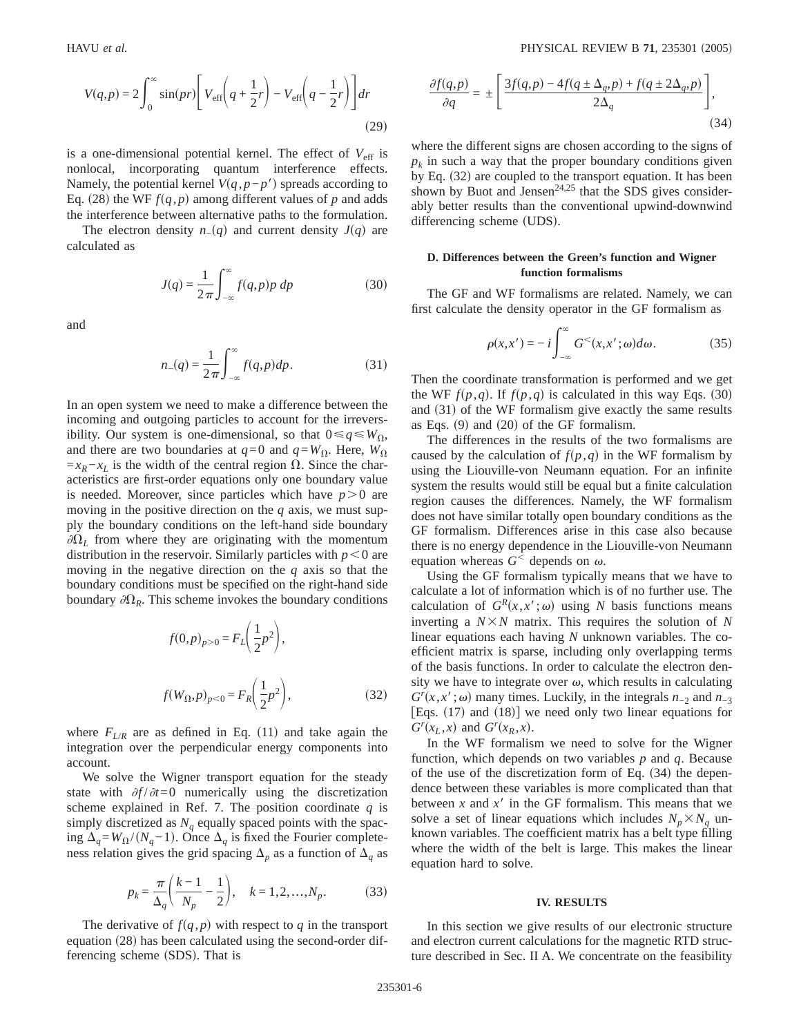$$
V(q,p) = 2\int_0^\infty \sin(pr) \left[ V_{\text{eff}} \left( q + \frac{1}{2}r \right) - V_{\text{eff}} \left( q - \frac{1}{2}r \right) \right] dr \tag{29}
$$

is a one-dimensional potential kernel. The effect of  $V_{\text{eff}}$  is nonlocal, incorporating quantum interference effects. Namely, the potential kernel  $V(q, p-p)$  spreads according to Eq. (28) the WF  $f(q, p)$  among different values of  $p$  and adds the interference between alternative paths to the formulation.

The electron density  $n_-(q)$  and current density  $J(q)$  are calculated as

$$
J(q) = \frac{1}{2\pi} \int_{-\infty}^{\infty} f(q, p) p \, dp \tag{30}
$$

and

$$
n_{-}(q) = \frac{1}{2\pi} \int_{-\infty}^{\infty} f(q, p) dp.
$$
 (31)

In an open system we need to make a difference between the incoming and outgoing particles to account for the irreversibility. Our system is one-dimensional, so that  $0 \leq q \leq W_0$ , and there are two boundaries at  $q=0$  and  $q=W_0$ . Here,  $W_0$ .  $=x_R-x_L$  is the width of the central region  $\Omega$ . Since the characteristics are first-order equations only one boundary value is needed. Moreover, since particles which have  $p > 0$  are moving in the positive direction on the *q* axis, we must supply the boundary conditions on the left-hand side boundary  $\partial\Omega_L$  from where they are originating with the momentum distribution in the reservoir. Similarly particles with  $p < 0$  are moving in the negative direction on the *q* axis so that the boundary conditions must be specified on the right-hand side boundary  $\partial \Omega_R$ . This scheme invokes the boundary conditions

$$
f(0,p)_{p>0} = F_L\left(\frac{1}{2}p^2\right),
$$
  

$$
f(W_{\Omega}, p)_{p<0} = F_R\left(\frac{1}{2}p^2\right),
$$
 (32)

where  $F_{L/R}$  are as defined in Eq. (11) and take again the integration over the perpendicular energy components into account.

We solve the Wigner transport equation for the steady state with  $\partial f / \partial t = 0$  numerically using the discretization scheme explained in Ref. 7. The position coordinate *q* is simply discretized as  $N_q$  equally spaced points with the spacing  $\Delta_q$ =*W*<sub>Ω</sub>/(*N<sub>q</sub>*−1). Once  $\Delta_q$  is fixed the Fourier completeness relation gives the grid spacing  $\Delta_p$  as a function of  $\Delta_q$  as

$$
p_k = \frac{\pi}{\Delta_q} \left( \frac{k-1}{N_p} - \frac{1}{2} \right), \quad k = 1, 2, ..., N_p.
$$
 (33)

The derivative of  $f(q, p)$  with respect to *q* in the transport equation  $(28)$  has been calculated using the second-order differencing scheme (SDS). That is

$$
\frac{\partial f(q,p)}{\partial q} = \pm \left[ \frac{3f(q,p) - 4f(q \pm \Delta_q, p) + f(q \pm 2\Delta_q, p)}{2\Delta_q} \right],\tag{34}
$$

where the different signs are chosen according to the signs of  $p_k$  in such a way that the proper boundary conditions given by Eq.  $(32)$  are coupled to the transport equation. It has been shown by Buot and Jensen<sup>24,25</sup> that the SDS gives considerably better results than the conventional upwind-downwind differencing scheme (UDS).

# **D. Differences between the Green's function and Wigner function formalisms**

The GF and WF formalisms are related. Namely, we can first calculate the density operator in the GF formalism as

$$
\rho(x, x') = -i \int_{-\infty}^{\infty} G^{<}(x, x'; \omega) d\omega.
$$
 (35)

Then the coordinate transformation is performed and we get the WF  $f(p,q)$ . If  $f(p,q)$  is calculated in this way Eqs. (30) and  $(31)$  of the WF formalism give exactly the same results as Eqs.  $(9)$  and  $(20)$  of the GF formalism.

The differences in the results of the two formalisms are caused by the calculation of  $f(p,q)$  in the WF formalism by using the Liouville-von Neumann equation. For an infinite system the results would still be equal but a finite calculation region causes the differences. Namely, the WF formalism does not have similar totally open boundary conditions as the GF formalism. Differences arise in this case also because there is no energy dependence in the Liouville-von Neumann equation whereas  $G^{\leq}$  depends on  $\omega$ .

Using the GF formalism typically means that we have to calculate a lot of information which is of no further use. The calculation of  $G^R(x, x'; \omega)$  using *N* basis functions means inverting a  $N \times N$  matrix. This requires the solution of N linear equations each having *N* unknown variables. The coefficient matrix is sparse, including only overlapping terms of the basis functions. In order to calculate the electron density we have to integrate over  $\omega$ , which results in calculating  $G<sup>r</sup>(x, x<sup>r</sup>; \omega)$  many times. Luckily, in the integrals *n*<sub>−2</sub> and *n*<sub>−3</sub> [Eqs.  $(17)$  and  $(18)$ ] we need only two linear equations for  $G<sup>r</sup>(x<sub>L</sub>,x)$  and  $G<sup>r</sup>(x<sub>R</sub>,x)$ .

In the WF formalism we need to solve for the Wigner function, which depends on two variables *p* and *q*. Because of the use of the discretization form of Eq.  $(34)$  the dependence between these variables is more complicated than that between  $x$  and  $x<sup>3</sup>$  in the GF formalism. This means that we solve a set of linear equations which includes  $N_p \times N_q$  unknown variables. The coefficient matrix has a belt type filling where the width of the belt is large. This makes the linear equation hard to solve.

### **IV. RESULTS**

In this section we give results of our electronic structure and electron current calculations for the magnetic RTD structure described in Sec. II A. We concentrate on the feasibility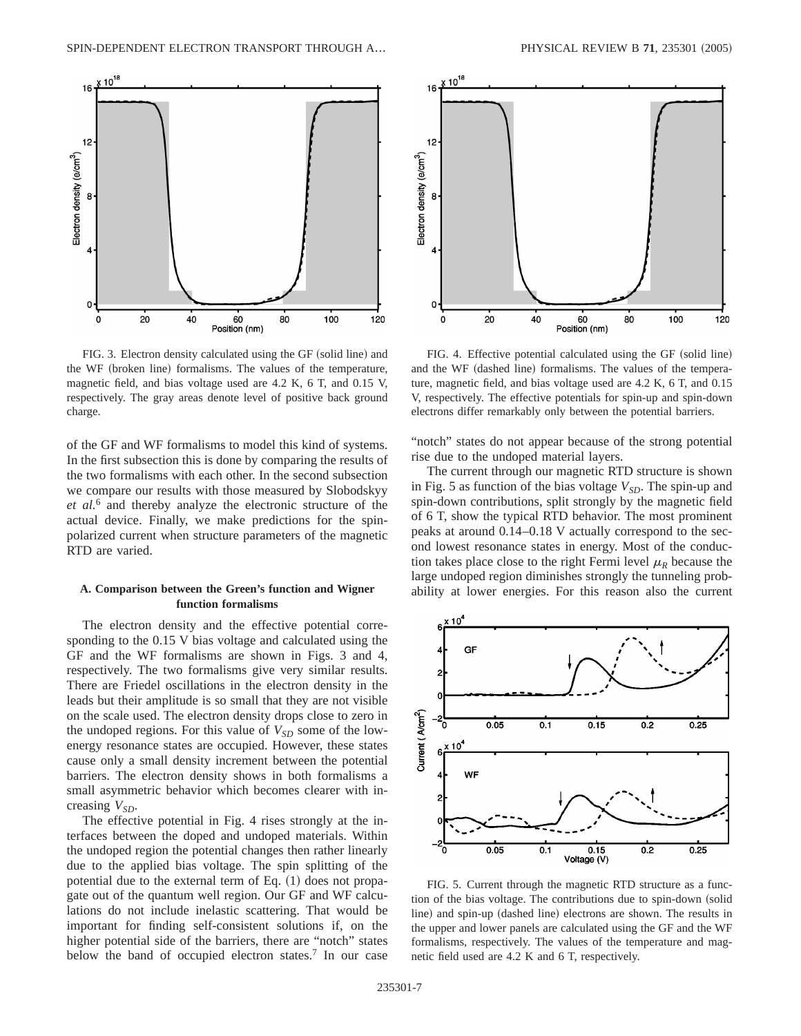

FIG. 3. Electron density calculated using the GF (solid line) and the WF (broken line) formalisms. The values of the temperature, magnetic field, and bias voltage used are 4.2 K, 6 T, and 0.15 V, respectively. The gray areas denote level of positive back ground charge.

of the GF and WF formalisms to model this kind of systems. In the first subsection this is done by comparing the results of the two formalisms with each other. In the second subsection we compare our results with those measured by Slobodskyy *et al.*<sup>6</sup> and thereby analyze the electronic structure of the actual device. Finally, we make predictions for the spinpolarized current when structure parameters of the magnetic RTD are varied.

## **A. Comparison between the Green's function and Wigner function formalisms**

The electron density and the effective potential corresponding to the 0.15 V bias voltage and calculated using the GF and the WF formalisms are shown in Figs. 3 and 4, respectively. The two formalisms give very similar results. There are Friedel oscillations in the electron density in the leads but their amplitude is so small that they are not visible on the scale used. The electron density drops close to zero in the undoped regions. For this value of  $V_{SD}$  some of the lowenergy resonance states are occupied. However, these states cause only a small density increment between the potential barriers. The electron density shows in both formalisms a small asymmetric behavior which becomes clearer with increasing  $V_{SD}$ .

The effective potential in Fig. 4 rises strongly at the interfaces between the doped and undoped materials. Within the undoped region the potential changes then rather linearly due to the applied bias voltage. The spin splitting of the potential due to the external term of Eq.  $(1)$  does not propagate out of the quantum well region. Our GF and WF calculations do not include inelastic scattering. That would be important for finding self-consistent solutions if, on the higher potential side of the barriers, there are "notch" states below the band of occupied electron states.<sup>7</sup> In our case



FIG. 4. Effective potential calculated using the GF (solid line) and the WF (dashed line) formalisms. The values of the temperature, magnetic field, and bias voltage used are 4.2 K, 6 T, and 0.15 V, respectively. The effective potentials for spin-up and spin-down electrons differ remarkably only between the potential barriers.

"notch" states do not appear because of the strong potential rise due to the undoped material layers.

The current through our magnetic RTD structure is shown in Fig. 5 as function of the bias voltage  $V_{SD}$ . The spin-up and spin-down contributions, split strongly by the magnetic field of 6 T, show the typical RTD behavior. The most prominent peaks at around 0.14–0.18 V actually correspond to the second lowest resonance states in energy. Most of the conduction takes place close to the right Fermi level  $\mu_R$  because the large undoped region diminishes strongly the tunneling probability at lower energies. For this reason also the current



FIG. 5. Current through the magnetic RTD structure as a function of the bias voltage. The contributions due to spin-down (solid line) and spin-up (dashed line) electrons are shown. The results in the upper and lower panels are calculated using the GF and the WF formalisms, respectively. The values of the temperature and magnetic field used are 4.2 K and 6 T, respectively.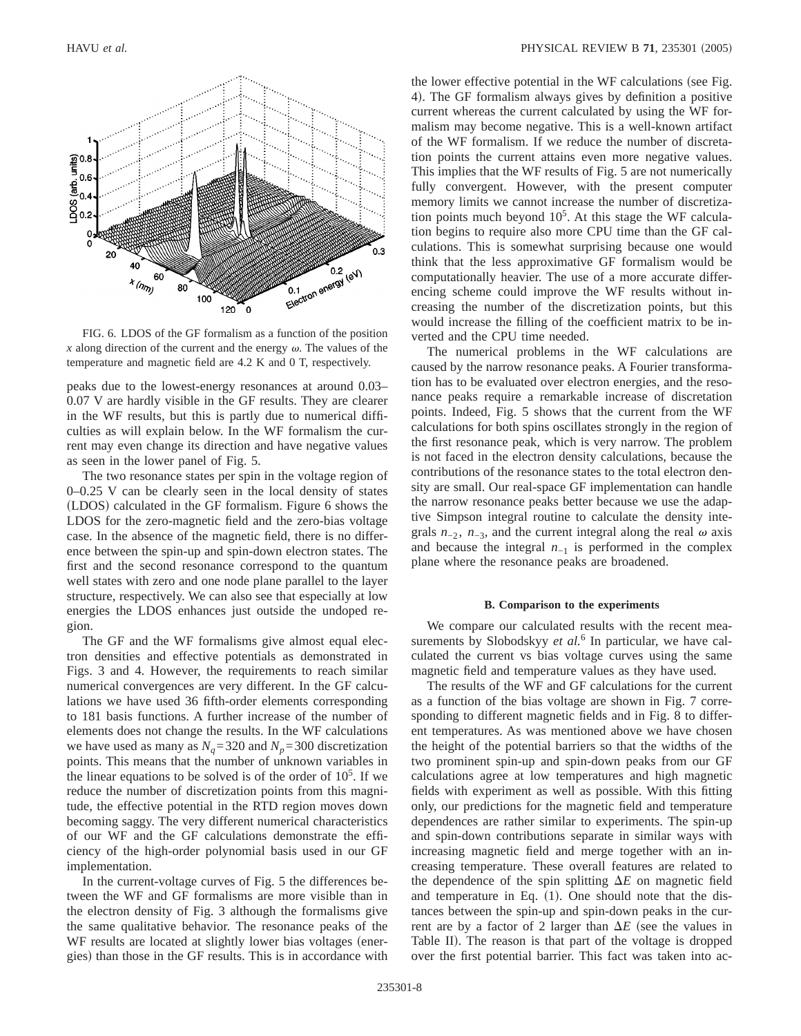

FIG. 6. LDOS of the GF formalism as a function of the position x along direction of the current and the energy  $\omega$ . The values of the temperature and magnetic field are 4.2 K and 0 T, respectively.

peaks due to the lowest-energy resonances at around 0.03– 0.07 V are hardly visible in the GF results. They are clearer in the WF results, but this is partly due to numerical difficulties as will explain below. In the WF formalism the current may even change its direction and have negative values as seen in the lower panel of Fig. 5.

The two resonance states per spin in the voltage region of 0–0.25 V can be clearly seen in the local density of states (LDOS) calculated in the GF formalism. Figure 6 shows the LDOS for the zero-magnetic field and the zero-bias voltage case. In the absence of the magnetic field, there is no difference between the spin-up and spin-down electron states. The first and the second resonance correspond to the quantum well states with zero and one node plane parallel to the layer structure, respectively. We can also see that especially at low energies the LDOS enhances just outside the undoped region.

The GF and the WF formalisms give almost equal electron densities and effective potentials as demonstrated in Figs. 3 and 4. However, the requirements to reach similar numerical convergences are very different. In the GF calculations we have used 36 fifth-order elements corresponding to 181 basis functions. A further increase of the number of elements does not change the results. In the WF calculations we have used as many as  $N_q = 320$  and  $N_p = 300$  discretization points. This means that the number of unknown variables in the linear equations to be solved is of the order of  $10<sup>5</sup>$ . If we reduce the number of discretization points from this magnitude, the effective potential in the RTD region moves down becoming saggy. The very different numerical characteristics of our WF and the GF calculations demonstrate the efficiency of the high-order polynomial basis used in our GF implementation.

In the current-voltage curves of Fig. 5 the differences between the WF and GF formalisms are more visible than in the electron density of Fig. 3 although the formalisms give the same qualitative behavior. The resonance peaks of the WF results are located at slightly lower bias voltages (energies) than those in the GF results. This is in accordance with the lower effective potential in the WF calculations (see Fig. 4). The GF formalism always gives by definition a positive current whereas the current calculated by using the WF formalism may become negative. This is a well-known artifact of the WF formalism. If we reduce the number of discretation points the current attains even more negative values. This implies that the WF results of Fig. 5 are not numerically fully convergent. However, with the present computer memory limits we cannot increase the number of discretization points much beyond  $10<sup>5</sup>$ . At this stage the WF calculation begins to require also more CPU time than the GF calculations. This is somewhat surprising because one would think that the less approximative GF formalism would be computationally heavier. The use of a more accurate differencing scheme could improve the WF results without increasing the number of the discretization points, but this would increase the filling of the coefficient matrix to be inverted and the CPU time needed.

The numerical problems in the WF calculations are caused by the narrow resonance peaks. A Fourier transformation has to be evaluated over electron energies, and the resonance peaks require a remarkable increase of discretation points. Indeed, Fig. 5 shows that the current from the WF calculations for both spins oscillates strongly in the region of the first resonance peak, which is very narrow. The problem is not faced in the electron density calculations, because the contributions of the resonance states to the total electron density are small. Our real-space GF implementation can handle the narrow resonance peaks better because we use the adaptive Simpson integral routine to calculate the density integrals  $n_{-2}$ ,  $n_{-3}$ , and the current integral along the real  $\omega$  axis and because the integral *n*−1 is performed in the complex plane where the resonance peaks are broadened.

### **B. Comparison to the experiments**

We compare our calculated results with the recent measurements by Slobodskyy *et al.*<sup>6</sup> In particular, we have calculated the current vs bias voltage curves using the same magnetic field and temperature values as they have used.

The results of the WF and GF calculations for the current as a function of the bias voltage are shown in Fig. 7 corresponding to different magnetic fields and in Fig. 8 to different temperatures. As was mentioned above we have chosen the height of the potential barriers so that the widths of the two prominent spin-up and spin-down peaks from our GF calculations agree at low temperatures and high magnetic fields with experiment as well as possible. With this fitting only, our predictions for the magnetic field and temperature dependences are rather similar to experiments. The spin-up and spin-down contributions separate in similar ways with increasing magnetic field and merge together with an increasing temperature. These overall features are related to the dependence of the spin splitting  $\Delta E$  on magnetic field and temperature in Eq.  $(1)$ . One should note that the distances between the spin-up and spin-down peaks in the current are by a factor of 2 larger than  $\Delta E$  (see the values in Table II). The reason is that part of the voltage is dropped over the first potential barrier. This fact was taken into ac-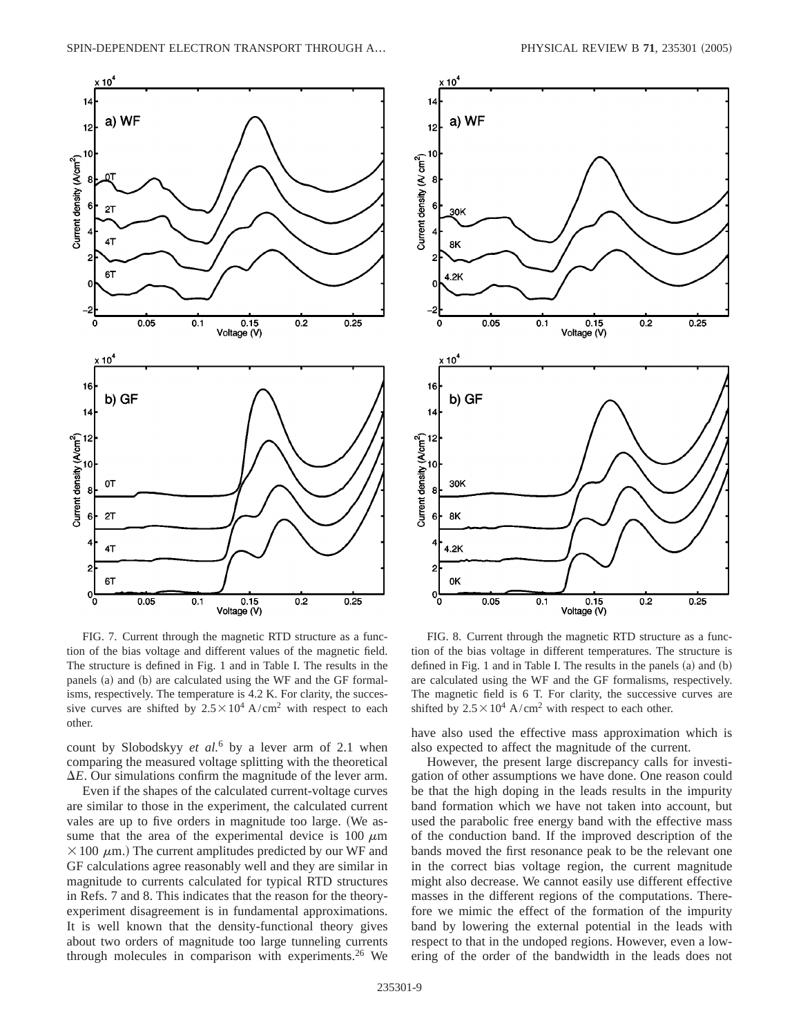

FIG. 7. Current through the magnetic RTD structure as a function of the bias voltage and different values of the magnetic field. The structure is defined in Fig. 1 and in Table I. The results in the panels (a) and (b) are calculated using the WF and the GF formalisms, respectively. The temperature is 4.2 K. For clarity, the successive curves are shifted by  $2.5 \times 10^4$  A/cm<sup>2</sup> with respect to each other.

count by Slobodskyy *et al.*<sup>6</sup> by a lever arm of 2.1 when comparing the measured voltage splitting with the theoretical  $\Delta E$ . Our simulations confirm the magnitude of the lever arm.

Even if the shapes of the calculated current-voltage curves are similar to those in the experiment, the calculated current vales are up to five orders in magnitude too large. (We assume that the area of the experimental device is 100  $\mu$ m  $\times$  100  $\mu$ m.) The current amplitudes predicted by our WF and GF calculations agree reasonably well and they are similar in magnitude to currents calculated for typical RTD structures in Refs. 7 and 8. This indicates that the reason for the theoryexperiment disagreement is in fundamental approximations. It is well known that the density-functional theory gives about two orders of magnitude too large tunneling currents through molecules in comparison with experiments.<sup>26</sup> We



FIG. 8. Current through the magnetic RTD structure as a function of the bias voltage in different temperatures. The structure is defined in Fig. 1 and in Table I. The results in the panels  $(a)$  and  $(b)$ are calculated using the WF and the GF formalisms, respectively. The magnetic field is 6 T. For clarity, the successive curves are shifted by  $2.5 \times 10^4$  A/cm<sup>2</sup> with respect to each other.

have also used the effective mass approximation which is also expected to affect the magnitude of the current.

However, the present large discrepancy calls for investigation of other assumptions we have done. One reason could be that the high doping in the leads results in the impurity band formation which we have not taken into account, but used the parabolic free energy band with the effective mass of the conduction band. If the improved description of the bands moved the first resonance peak to be the relevant one in the correct bias voltage region, the current magnitude might also decrease. We cannot easily use different effective masses in the different regions of the computations. Therefore we mimic the effect of the formation of the impurity band by lowering the external potential in the leads with respect to that in the undoped regions. However, even a lowering of the order of the bandwidth in the leads does not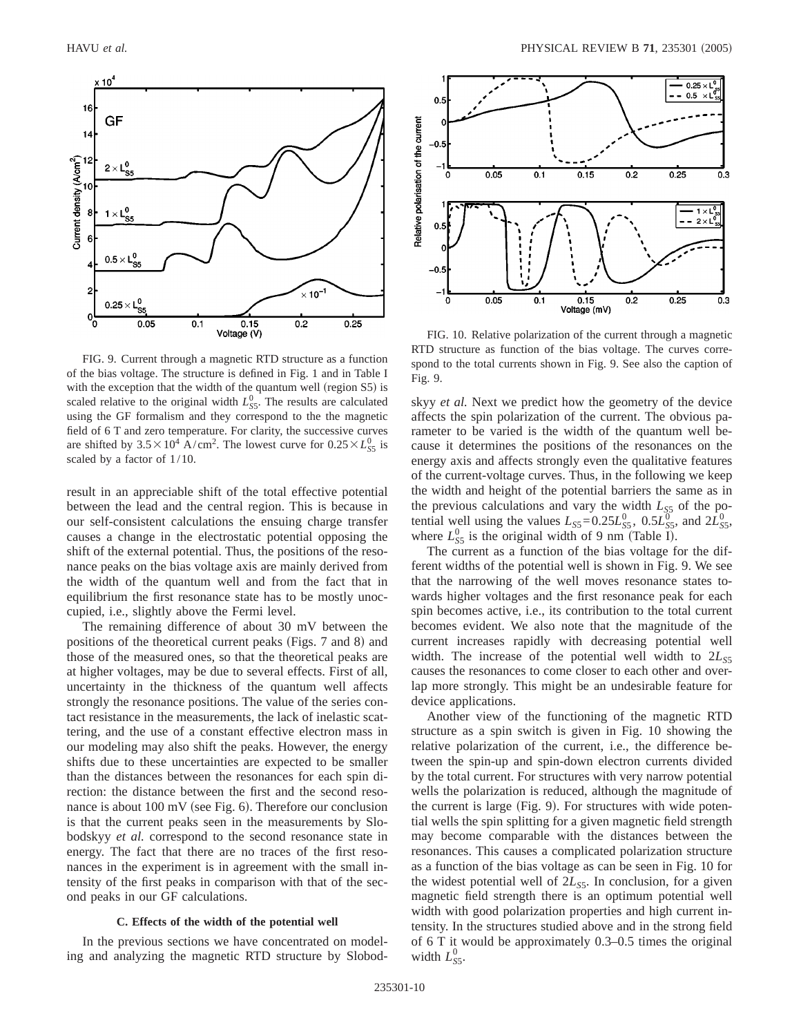

FIG. 9. Current through a magnetic RTD structure as a function of the bias voltage. The structure is defined in Fig. 1 and in Table I with the exception that the width of the quantum well (region S5) is scaled relative to the original width  $L_{SS}^0$ . The results are calculated using the GF formalism and they correspond to the the magnetic field of 6 T and zero temperature. For clarity, the successive curves are shifted by  $3.5 \times 10^4$  A/cm<sup>2</sup>. The lowest curve for  $0.25 \times L_{SS}^0$  is scaled by a factor of 1/10.

result in an appreciable shift of the total effective potential between the lead and the central region. This is because in our self-consistent calculations the ensuing charge transfer causes a change in the electrostatic potential opposing the shift of the external potential. Thus, the positions of the resonance peaks on the bias voltage axis are mainly derived from the width of the quantum well and from the fact that in equilibrium the first resonance state has to be mostly unoccupied, i.e., slightly above the Fermi level.

The remaining difference of about 30 mV between the positions of the theoretical current peaks (Figs. 7 and 8) and those of the measured ones, so that the theoretical peaks are at higher voltages, may be due to several effects. First of all, uncertainty in the thickness of the quantum well affects strongly the resonance positions. The value of the series contact resistance in the measurements, the lack of inelastic scattering, and the use of a constant effective electron mass in our modeling may also shift the peaks. However, the energy shifts due to these uncertainties are expected to be smaller than the distances between the resonances for each spin direction: the distance between the first and the second resonance is about  $100 \text{ mV}$  (see Fig. 6). Therefore our conclusion is that the current peaks seen in the measurements by Slobodskyy *et al.* correspond to the second resonance state in energy. The fact that there are no traces of the first resonances in the experiment is in agreement with the small intensity of the first peaks in comparison with that of the second peaks in our GF calculations.

### **C. Effects of the width of the potential well**

In the previous sections we have concentrated on modeling and analyzing the magnetic RTD structure by Slobod-



FIG. 10. Relative polarization of the current through a magnetic RTD structure as function of the bias voltage. The curves correspond to the total currents shown in Fig. 9. See also the caption of Fig. 9.

skyy *et al.* Next we predict how the geometry of the device affects the spin polarization of the current. The obvious parameter to be varied is the width of the quantum well because it determines the positions of the resonances on the energy axis and affects strongly even the qualitative features of the current-voltage curves. Thus, in the following we keep the width and height of the potential barriers the same as in the previous calculations and vary the width  $L_{\text{S5}}$  of the potential well using the values  $L_{SS} = 0.25L_{SS}^0$ ,  $0.5L_{SS}^0$ , and  $2\tilde{L}_{SS}^0$ , where  $L_{SS}^0$  is the original width of 9 nm (Table I).

The current as a function of the bias voltage for the different widths of the potential well is shown in Fig. 9. We see that the narrowing of the well moves resonance states towards higher voltages and the first resonance peak for each spin becomes active, i.e., its contribution to the total current becomes evident. We also note that the magnitude of the current increases rapidly with decreasing potential well width. The increase of the potential well width to  $2L_{ss}$ causes the resonances to come closer to each other and overlap more strongly. This might be an undesirable feature for device applications.

Another view of the functioning of the magnetic RTD structure as a spin switch is given in Fig. 10 showing the relative polarization of the current, i.e., the difference between the spin-up and spin-down electron currents divided by the total current. For structures with very narrow potential wells the polarization is reduced, although the magnitude of the current is large (Fig. 9). For structures with wide potential wells the spin splitting for a given magnetic field strength may become comparable with the distances between the resonances. This causes a complicated polarization structure as a function of the bias voltage as can be seen in Fig. 10 for the widest potential well of  $2L_{SS}$ . In conclusion, for a given magnetic field strength there is an optimum potential well width with good polarization properties and high current intensity. In the structures studied above and in the strong field of 6 T it would be approximately 0.3–0.5 times the original width  $L_{S5}^0$ .